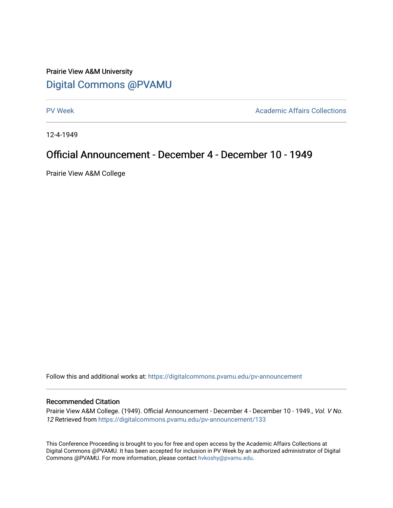## Prairie View A&M University [Digital Commons @PVAMU](https://digitalcommons.pvamu.edu/)

[PV Week](https://digitalcommons.pvamu.edu/pv-announcement) **Academic Affairs Collections** 

12-4-1949

## Official Announcement - December 4 - December 10 - 1949

Prairie View A&M College

Follow this and additional works at: [https://digitalcommons.pvamu.edu/pv-announcement](https://digitalcommons.pvamu.edu/pv-announcement?utm_source=digitalcommons.pvamu.edu%2Fpv-announcement%2F133&utm_medium=PDF&utm_campaign=PDFCoverPages) 

## Recommended Citation

Prairie View A&M College. (1949). Official Announcement - December 4 - December 10 - 1949., Vol. V No. 12 Retrieved from [https://digitalcommons.pvamu.edu/pv-announcement/133](https://digitalcommons.pvamu.edu/pv-announcement/133?utm_source=digitalcommons.pvamu.edu%2Fpv-announcement%2F133&utm_medium=PDF&utm_campaign=PDFCoverPages)

This Conference Proceeding is brought to you for free and open access by the Academic Affairs Collections at Digital Commons @PVAMU. It has been accepted for inclusion in PV Week by an authorized administrator of Digital Commons @PVAMU. For more information, please contact [hvkoshy@pvamu.edu.](mailto:hvkoshy@pvamu.edu)